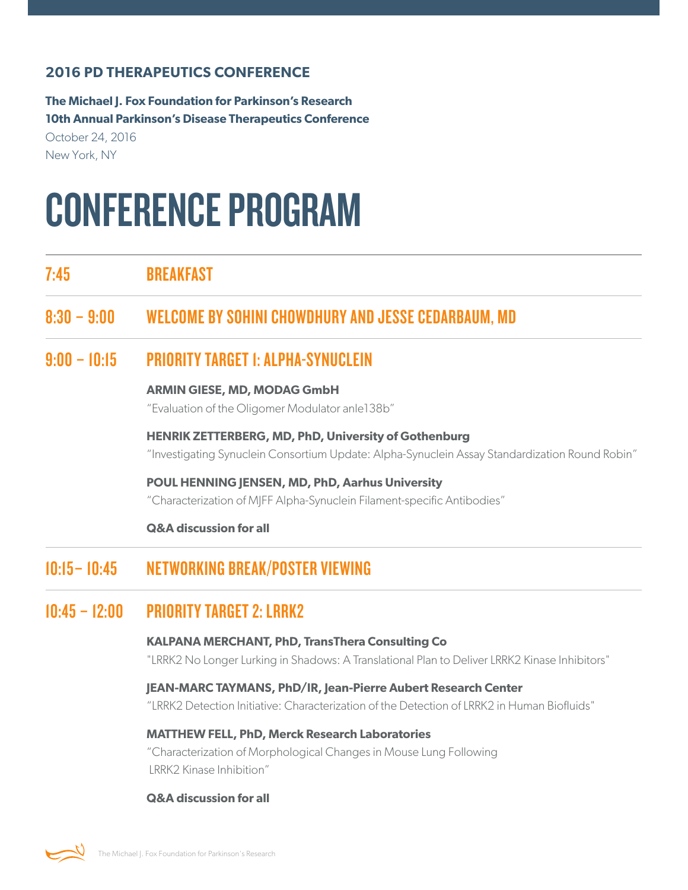### **2016 PD THERAPEUTICS CONFERENCE**

**The Michael J. Fox Foundation for Parkinson's Research 10th Annual Parkinson's Disease Therapeutics Conference** October 24, 2016

New York, NY

# CONFERENCE PROGRAM

7:45 BREAKFAST

# 8:30 – 9:00 WELCOME BY SOHINI CHOWDHURY AND JESSE CEDARBAUM, MD

## 9:00 – 10:15 PRIORITY TARGET 1: ALPHA-SYNUCLEIN

#### **ARMIN GIESE, MD, MODAG GmbH**

"Evaluation of the Oligomer Modulator anle138b"

**HENRIK ZETTERBERG, MD, PhD, University of Gothenburg** "Investigating Synuclein Consortium Update: Alpha-Synuclein Assay Standardization Round Robin"

**POUL HENNING JENSEN, MD, PhD, Aarhus University** "Characterization of MJFF Alpha-Synuclein Filament-specific Antibodies"

#### **Q&A discussion for all**

# 10:15– 10:45 NETWORKING BREAK/POSTER VIEWING

# $10:45 - 12:00$  PRIORITY TARGET 2: LRRK2

## **KALPANA MERCHANT, PhD, TransThera Consulting Co**

"LRRK2 No Longer Lurking in Shadows: A Translational Plan to Deliver LRRK2 Kinase Inhibitors"

#### **JEAN-MARC TAYMANS, PhD/IR, Jean-Pierre Aubert Research Center**

"LRRK2 Detection Initiative: Characterization of the Detection of LRRK2 in Human Biofluids"

#### **MATTHEW FELL, PhD, Merck Research Laboratories**

"Characterization of Morphological Changes in Mouse Lung Following LRRK2 Kinase Inhibition"

#### **Q&A discussion for all**